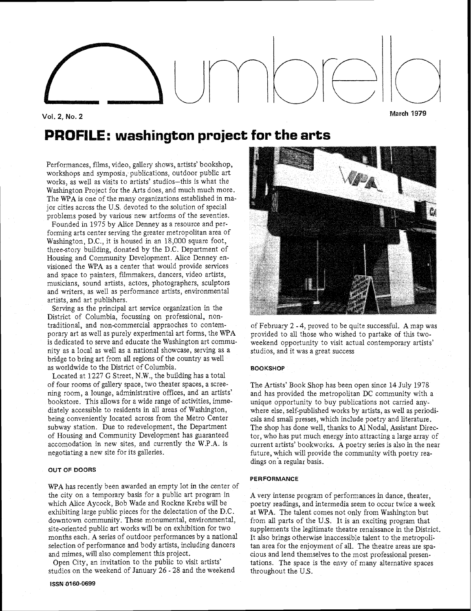## Vol. **2, No. 2 March I979**

# PROFILE: **washingtan project** for the arts

Performances, films, video, gallery shows, artists' bookshop, workshops and symposia, publications, outdoor public art works, as well as visits to artists' studios-this is what the Washington Project for the Arts does, and much much more. The **WPA** is one of the many organizations established in major cities across the U.S. devoted to the solution of special problems posed by various new artforms of the seventies.

Founded in 1975 by Alice Denney as a resource and performing arts center serving the greater metropolitan area of Washington, D.C., it is housed in an 18,000 square foot, three-story building, donated by the D.C. Department of Housing and Community Development. Alice Denney envisioned the WPA as a center that would provide services and space to painters, filmmakers, dancers, video artists, musicians, sound artists, actors, photographers, sculptors and writers, as well as performance artists, environmental artists, and art publishers.

Serving as the principal art service organization in the District of Columbia, focussing on professional, nontraditional, and non-commercial appraoches to contemporary art as well as purely experimental art forms, the WPA is dedicated to serve and educate the Washington art community as a local as well as a national showcase, serving as a bridge to bring art from all regions of the country as well as worldwide to the District of Columbia.

Located at 1227 *G* Street, N.W., the building has a total of four rooms of gallery space, two theater spaces, a screening room, a lounge, administrative offices, and an artists' bookstore. This allows for a wide range of activities, immediately accessible to residents in all areas of Washington, being conveniently located across from the Metro Center subway station. Due to redevelopment, the Department of Housing and Community Development has guaranteed accomodation in new sites, and currently the W.P.A. is negotiating a new site for its galleries.

### **OUT OF DOORS**

WPA has recently been awarded an empty lot in the center of the city on a temporary basis for a public art program in which Alice Aycock, Bob Wade and Rockne Krebs will be exhibiting large public pieces for the delectation of the D.C. downtown community. These monumental, environmental, site-oriented public art works will be on exhibition for two months each. A series of outdoor performances by a national selection of performance and body artists, including dancers and mimes, will also complement this project.

Open City, an invitation to the public to visit artists' studios on the weekend of January 26 - 28 and the weekend



of February 2 - 4, proved to be quite successful. A map was provided to all those who wished to partake of this twoweekend opportunity to visit actual contemporary artists' studios, and it was a great success

#### **BOOKSHOP**

The Artists' Book Shop has been open since 14 July 1978 and has provided the metropolitan DC community with a unique opportunity to buy publications not carried anywhere else, self-published works by artists, as well as periodicals and small presses, which include poetry and literature. The shop has done well, thanks to **A1** Nodal, Assistanr Director, who has put much energy into attracting a large array of current artists' bookworks. A poetry series is also in the near future, which will provide the community with poetry readings on'a regular basis.

#### **PERFORMANCE**

A very intense program of performances in dance, theater, poetry readings, and intermedia seem to occur twice a week at WPA. The talent comes not only from Washington but from all parts of the U.S. It is an exciting program that supplements the legitimate theatre renaissance in the District. It also brings otherwise inaccessible talent to the metropolitan area for the enjoyment of all. The theatre areas are spacious and lend themselves to the most professional presentations. The space is the envy of many alternative spaces throughout the U.S.